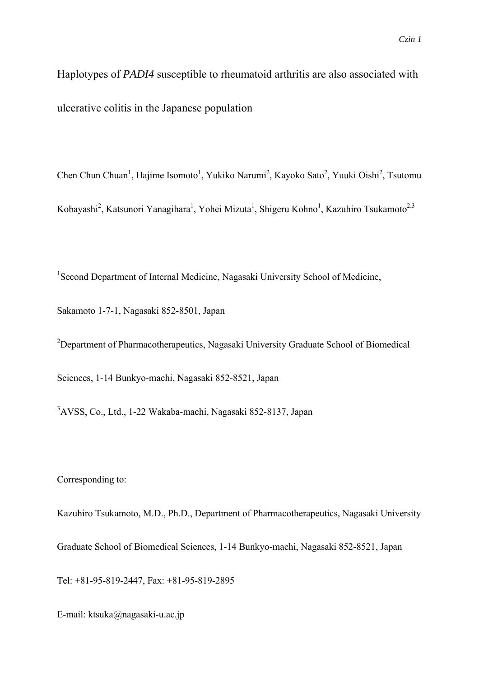Haplotypes of *PADI4* susceptible to rheumatoid arthritis are also associated with ulcerative colitis in the Japanese population

Chen Chun Chuan<sup>1</sup>, Hajime Isomoto<sup>1</sup>, Yukiko Narumi<sup>2</sup>, Kayoko Sato<sup>2</sup>, Yuuki Oishi<sup>2</sup>, Tsutomu Kobayashi<sup>2</sup>, Katsunori Yanagihara<sup>1</sup>, Yohei Mizuta<sup>1</sup>, Shigeru Kohno<sup>1</sup>, Kazuhiro Tsukamoto<sup>2,3</sup>

<sup>1</sup> Second Department of Internal Medicine, Nagasaki University School of Medicine,

Sakamoto 1-7-1, Nagasaki 852-8501, Japan

<sup>2</sup>Department of Pharmacotherapeutics, Nagasaki University Graduate School of Biomedical Sciences, 1-14 Bunkyo-machi, Nagasaki 852-8521, Japan

3 AVSS, Co., Ltd., 1-22 Wakaba-machi, Nagasaki 852-8137, Japan

Corresponding to:

Kazuhiro Tsukamoto, M.D., Ph.D., Department of Pharmacotherapeutics, Nagasaki University Graduate School of Biomedical Sciences, 1-14 Bunkyo-machi, Nagasaki 852-8521, Japan Tel: +81-95-819-2447, Fax: +81-95-819-2895

E-mail: ktsuka@nagasaki-u.ac.jp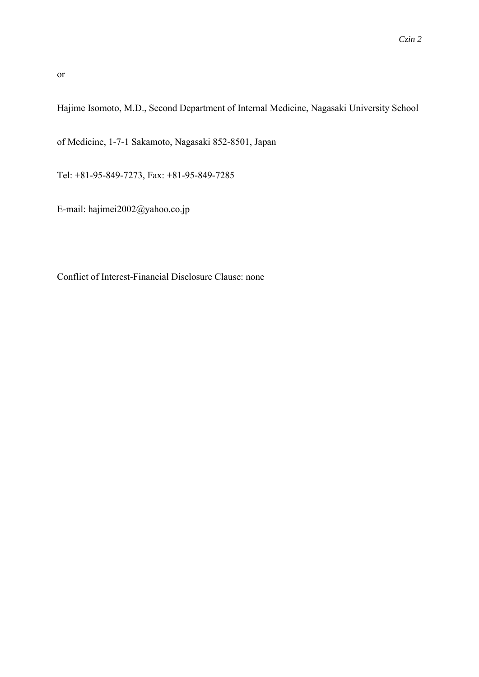or

Hajime Isomoto, M.D., Second Department of Internal Medicine, Nagasaki University School

of Medicine, 1-7-1 Sakamoto, Nagasaki 852-8501, Japan

Tel: +81-95-849-7273, Fax: +81-95-849-7285

E-mail: hajimei2002@yahoo.co.jp

Conflict of Interest-Financial Disclosure Clause: none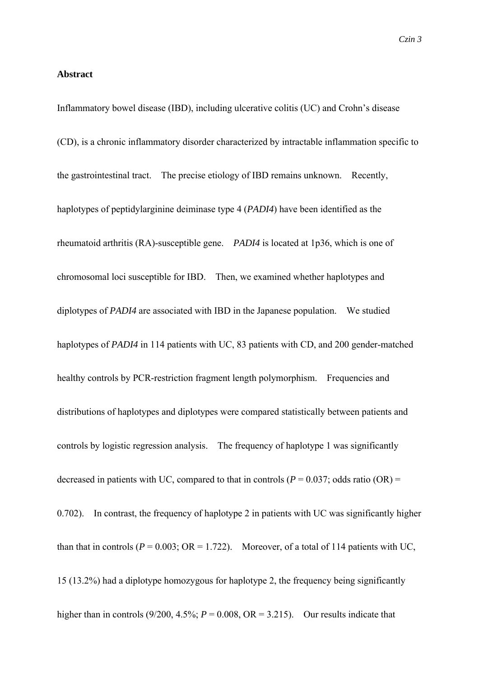### **Abstract**

Inflammatory bowel disease (IBD), including ulcerative colitis (UC) and Crohn's disease (CD), is a chronic inflammatory disorder characterized by intractable inflammation specific to the gastrointestinal tract. The precise etiology of IBD remains unknown. Recently, haplotypes of peptidylarginine deiminase type 4 (*PADI4*) have been identified as the rheumatoid arthritis (RA)-susceptible gene. *PADI4* is located at 1p36, which is one of chromosomal loci susceptible for IBD. Then, we examined whether haplotypes and diplotypes of *PADI4* are associated with IBD in the Japanese population. We studied haplotypes of *PADI4* in 114 patients with UC, 83 patients with CD, and 200 gender-matched healthy controls by PCR-restriction fragment length polymorphism. Frequencies and distributions of haplotypes and diplotypes were compared statistically between patients and controls by logistic regression analysis. The frequency of haplotype 1 was significantly decreased in patients with UC, compared to that in controls ( $P = 0.037$ ; odds ratio (OR) = 0.702). In contrast, the frequency of haplotype 2 in patients with UC was significantly higher than that in controls ( $P = 0.003$ ; OR = 1.722). Moreover, of a total of 114 patients with UC, 15 (13.2%) had a diplotype homozygous for haplotype 2, the frequency being significantly higher than in controls (9/200, 4.5%;  $P = 0.008$ , OR = 3.215). Our results indicate that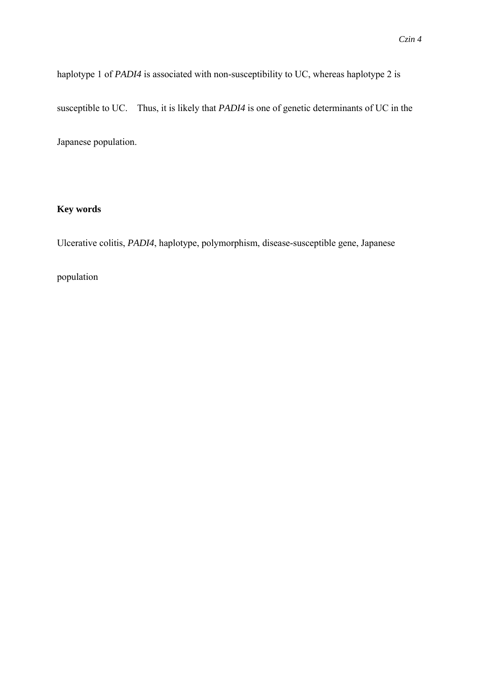haplotype 1 of *PADI4* is associated with non-susceptibility to UC, whereas haplotype 2 is susceptible to UC. Thus, it is likely that *PADI4* is one of genetic determinants of UC in the Japanese population.

# **Key words**

Ulcerative colitis, *PADI4*, haplotype, polymorphism, disease-susceptible gene, Japanese

## population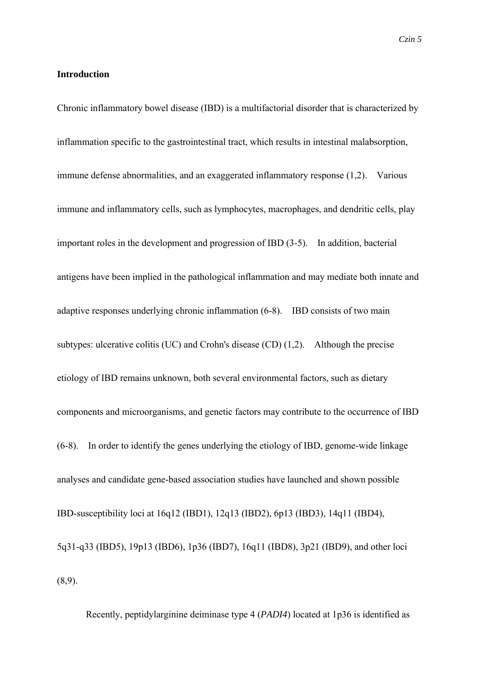### **Introduction**

Chronic inflammatory bowel disease (IBD) is a multifactorial disorder that is characterized by inflammation specific to the gastrointestinal tract, which results in intestinal malabsorption, immune defense abnormalities, and an exaggerated inflammatory response (1,2). Various immune and inflammatory cells, such as lymphocytes, macrophages, and dendritic cells, play important roles in the development and progression of IBD (3-5). In addition, bacterial antigens have been implied in the pathological inflammation and may mediate both innate and adaptive responses underlying chronic inflammation (6-8). IBD consists of two main subtypes: ulcerative colitis (UC) and Crohn's disease (CD) (1,2). Although the precise etiology of IBD remains unknown, both several environmental factors, such as dietary components and microorganisms, and genetic factors may contribute to the occurrence of IBD (6-8). In order to identify the genes underlying the etiology of IBD, genome-wide linkage analyses and candidate gene-based association studies have launched and shown possible IBD-susceptibility loci at 16q12 (IBD1), 12q13 (IBD2), 6p13 (IBD3), 14q11 (IBD4), 5q31-q33 (IBD5), 19p13 (IBD6), 1p36 (IBD7), 16q11 (IBD8), 3p21 (IBD9), and other loci (8,9).

Recently, peptidylarginine deiminase type 4 (*PADI4*) located at 1p36 is identified as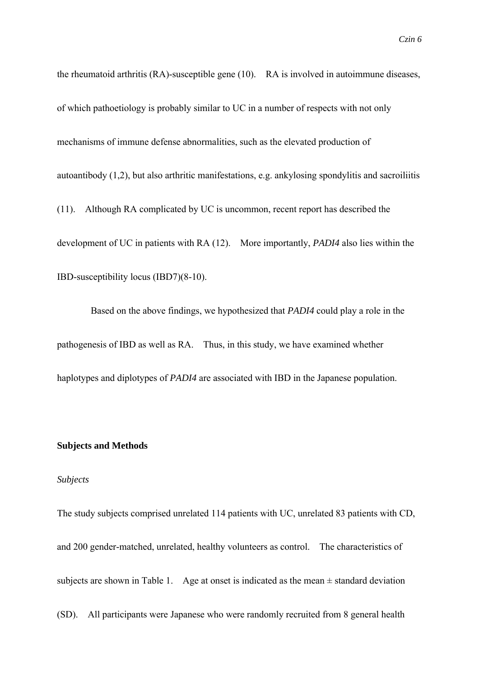the rheumatoid arthritis (RA)-susceptible gene (10). RA is involved in autoimmune diseases, of which pathoetiology is probably similar to UC in a number of respects with not only mechanisms of immune defense abnormalities, such as the elevated production of autoantibody (1,2), but also arthritic manifestations, e.g. ankylosing spondylitis and sacroiliitis (11). Although RA complicated by UC is uncommon, recent report has described the development of UC in patients with RA (12). More importantly, *PADI4* also lies within the

IBD-susceptibility locus (IBD7)(8-10).

Based on the above findings, we hypothesized that *PADI4* could play a role in the pathogenesis of IBD as well as RA. Thus, in this study, we have examined whether haplotypes and diplotypes of *PADI4* are associated with IBD in the Japanese population.

#### **Subjects and Methods**

#### *Subjects*

The study subjects comprised unrelated 114 patients with UC, unrelated 83 patients with CD, and 200 gender-matched, unrelated, healthy volunteers as control. The characteristics of subjects are shown in Table 1. Age at onset is indicated as the mean  $\pm$  standard deviation (SD). All participants were Japanese who were randomly recruited from 8 general health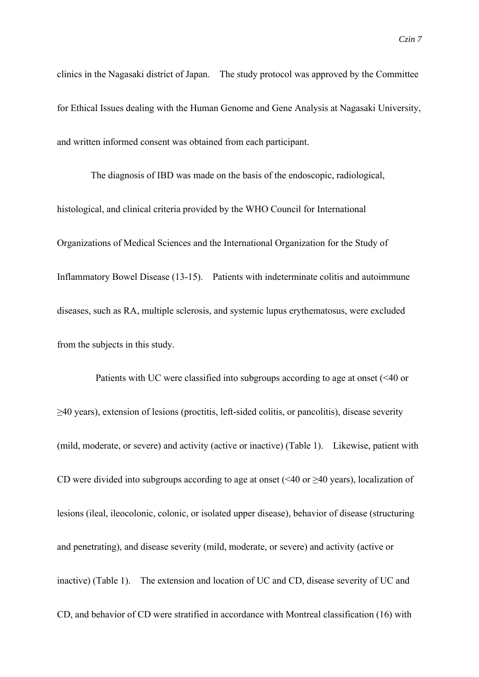clinics in the Nagasaki district of Japan. The study protocol was approved by the Committee for Ethical Issues dealing with the Human Genome and Gene Analysis at Nagasaki University, and written informed consent was obtained from each participant.

The diagnosis of IBD was made on the basis of the endoscopic, radiological, histological, and clinical criteria provided by the WHO Council for International Organizations of Medical Sciences and the International Organization for the Study of Inflammatory Bowel Disease (13-15). Patients with indeterminate colitis and autoimmune diseases, such as RA, multiple sclerosis, and systemic lupus erythematosus, were excluded from the subjects in this study.

Patients with UC were classified into subgroups according to age at onset (<40 or ≥40 years), extension of lesions (proctitis, left-sided colitis, or pancolitis), disease severity (mild, moderate, or severe) and activity (active or inactive) (Table 1). Likewise, patient with CD were divided into subgroups according to age at onset (<40 or  $\geq$ 40 years), localization of lesions (ileal, ileocolonic, colonic, or isolated upper disease), behavior of disease (structuring and penetrating), and disease severity (mild, moderate, or severe) and activity (active or inactive) (Table 1). The extension and location of UC and CD, disease severity of UC and CD, and behavior of CD were stratified in accordance with Montreal classification (16) with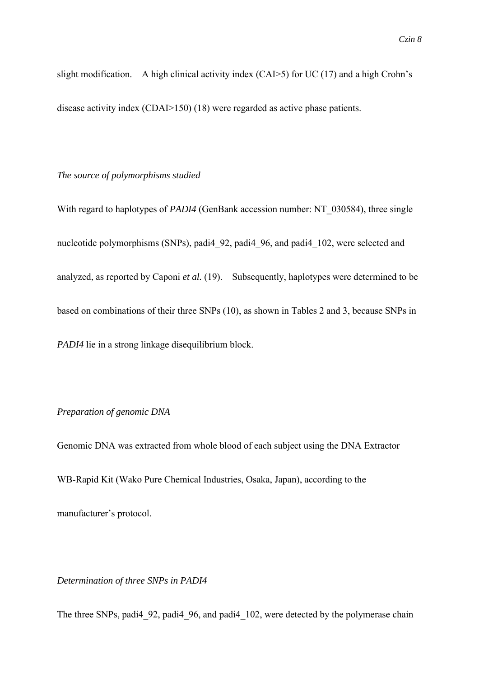slight modification. A high clinical activity index (CAI>5) for UC (17) and a high Crohn's disease activity index (CDAI>150) (18) were regarded as active phase patients.

### *The source of polymorphisms studied*

With regard to haplotypes of *PADI4* (GenBank accession number: NT\_030584), three single nucleotide polymorphisms (SNPs), padi4\_92, padi4\_96, and padi4\_102, were selected and analyzed, as reported by Caponi *et al.* (19). Subsequently, haplotypes were determined to be based on combinations of their three SNPs (10), as shown in Tables 2 and 3, because SNPs in *PADI4* lie in a strong linkage disequilibrium block.

### *Preparation of genomic DNA*

Genomic DNA was extracted from whole blood of each subject using the DNA Extractor WB-Rapid Kit (Wako Pure Chemical Industries, Osaka, Japan), according to the manufacturer's protocol.

*Determination of three SNPs in PADI4*

The three SNPs, padi4 92, padi4 96, and padi4 102, were detected by the polymerase chain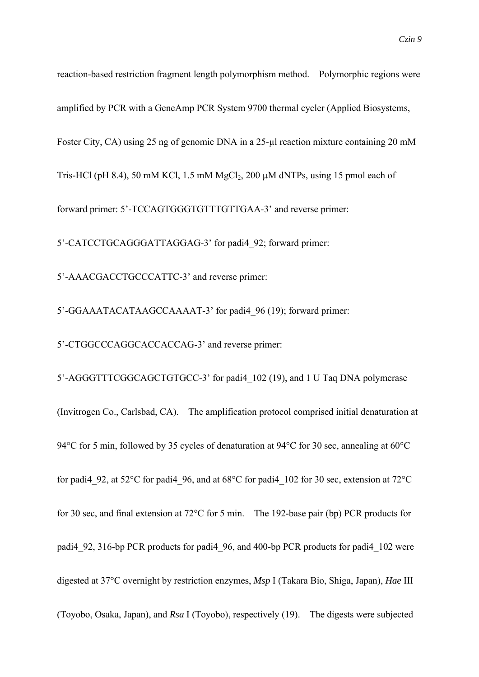reaction-based restriction fragment length polymorphism method. Polymorphic regions were amplified by PCR with a GeneAmp PCR System 9700 thermal cycler (Applied Biosystems, Foster City, CA) using 25 ng of genomic DNA in a 25-µl reaction mixture containing 20 mM Tris-HCl (pH 8.4), 50 mM KCl, 1.5 mM MgCl<sub>2</sub>, 200  $\mu$ M dNTPs, using 15 pmol each of forward primer: 5'-TCCAGTGGGTGTTTGTTGAA-3' and reverse primer: 5'-CATCCTGCAGGGATTAGGAG-3' for padi4\_92; forward primer: 5'-AAACGACCTGCCCATTC-3' and reverse primer: 5'-GGAAATACATAAGCCAAAAT-3' for padi4\_96 (19); forward primer:

5'-CTGGCCCAGGCACCACCAG-3' and reverse primer:

5'-AGGGTTTCGGCAGCTGTGCC-3' for padi4\_102 (19), and 1 U Taq DNA polymerase (Invitrogen Co., Carlsbad, CA). The amplification protocol comprised initial denaturation at 94°C for 5 min, followed by 35 cycles of denaturation at 94°C for 30 sec, annealing at 60°C for padi4 92, at 52°C for padi4 96, and at 68°C for padi4 102 for 30 sec, extension at 72°C for 30 sec, and final extension at 72°C for 5 min. The 192-base pair (bp) PCR products for padi4 92, 316-bp PCR products for padi4 96, and 400-bp PCR products for padi4 102 were digested at 37°C overnight by restriction enzymes, *Msp* I (Takara Bio, Shiga, Japan), *Hae* III (Toyobo, Osaka, Japan), and *Rsa* I (Toyobo), respectively (19). The digests were subjected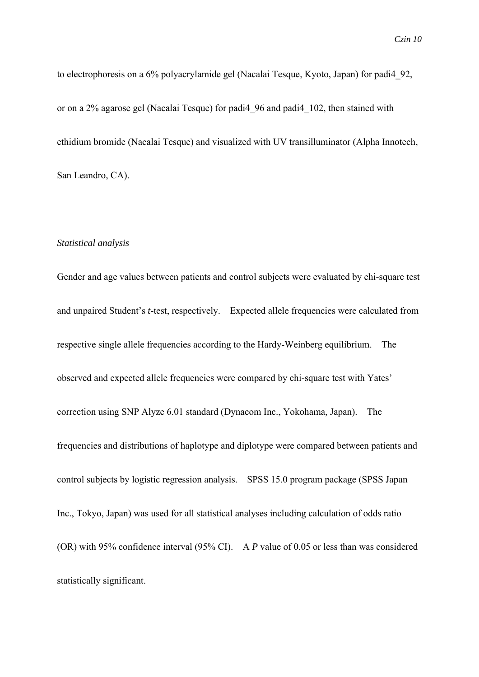to electrophoresis on a 6% polyacrylamide gel (Nacalai Tesque, Kyoto, Japan) for padi4\_92, or on a 2% agarose gel (Nacalai Tesque) for padi4\_96 and padi4\_102, then stained with ethidium bromide (Nacalai Tesque) and visualized with UV transilluminator (Alpha Innotech, San Leandro, CA).

#### *Statistical analysis*

Gender and age values between patients and control subjects were evaluated by chi-square test and unpaired Student's *t*-test, respectively. Expected allele frequencies were calculated from respective single allele frequencies according to the Hardy-Weinberg equilibrium. The observed and expected allele frequencies were compared by chi-square test with Yates' correction using SNP Alyze 6.01 standard (Dynacom Inc., Yokohama, Japan). The frequencies and distributions of haplotype and diplotype were compared between patients and control subjects by logistic regression analysis. SPSS 15.0 program package (SPSS Japan Inc., Tokyo, Japan) was used for all statistical analyses including calculation of odds ratio (OR) with 95% confidence interval (95% CI). A *P* value of 0.05 or less than was considered statistically significant.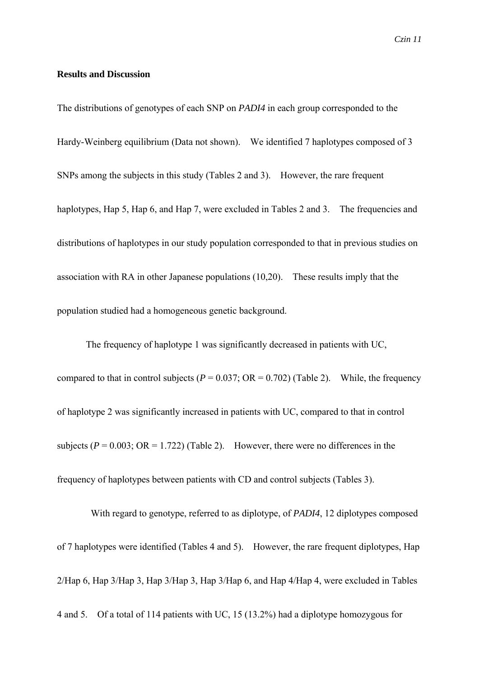### **Results and Discussion**

The distributions of genotypes of each SNP on *PADI4* in each group corresponded to the Hardy-Weinberg equilibrium (Data not shown). We identified 7 haplotypes composed of 3 SNPs among the subjects in this study (Tables 2 and 3). However, the rare frequent haplotypes, Hap 5, Hap 6, and Hap 7, were excluded in Tables 2 and 3. The frequencies and distributions of haplotypes in our study population corresponded to that in previous studies on association with RA in other Japanese populations (10,20). These results imply that the population studied had a homogeneous genetic background.

 The frequency of haplotype 1 was significantly decreased in patients with UC, compared to that in control subjects ( $P = 0.037$ ; OR = 0.702) (Table 2). While, the frequency of haplotype 2 was significantly increased in patients with UC, compared to that in control subjects  $(P = 0.003; \text{ OR } = 1.722)$  (Table 2). However, there were no differences in the frequency of haplotypes between patients with CD and control subjects (Tables 3).

With regard to genotype, referred to as diplotype, of *PADI4*, 12 diplotypes composed of 7 haplotypes were identified (Tables 4 and 5). However, the rare frequent diplotypes, Hap 2/Hap 6, Hap 3/Hap 3, Hap 3/Hap 3, Hap 3/Hap 6, and Hap 4/Hap 4, were excluded in Tables 4 and 5. Of a total of 114 patients with UC, 15 (13.2%) had a diplotype homozygous for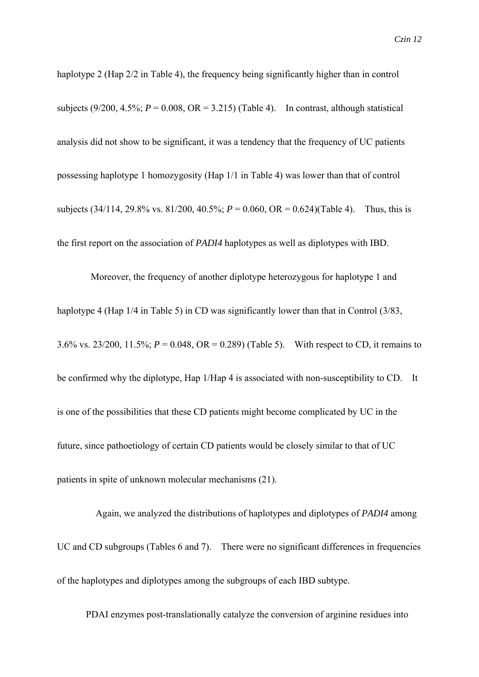haplotype 2 (Hap 2/2 in Table 4), the frequency being significantly higher than in control subjects  $(9/200, 4.5\%; P = 0.008, OR = 3.215)$  (Table 4). In contrast, although statistical analysis did not show to be significant, it was a tendency that the frequency of UC patients possessing haplotype 1 homozygosity (Hap 1/1 in Table 4) was lower than that of control subjects  $(34/114, 29.8\% \text{ vs. } 81/200, 40.5\% \text{ ; } P = 0.060, \text{ OR} = 0.624$ )(Table 4). Thus, this is the first report on the association of *PADI4* haplotypes as well as diplotypes with IBD.

Moreover, the frequency of another diplotype heterozygous for haplotype 1 and haplotype 4 (Hap  $1/4$  in Table 5) in CD was significantly lower than that in Control (3/83, 3.6% vs. 23/200, 11.5%; *P* = 0.048, OR = 0.289) (Table 5). With respect to CD, it remains to be confirmed why the diplotype, Hap 1/Hap 4 is associated with non-susceptibility to CD. It is one of the possibilities that these CD patients might become complicated by UC in the future, since pathoetiology of certain CD patients would be closely similar to that of UC patients in spite of unknown molecular mechanisms (21).

Again, we analyzed the distributions of haplotypes and diplotypes of *PADI4* among UC and CD subgroups (Tables 6 and 7). There were no significant differences in frequencies of the haplotypes and diplotypes among the subgroups of each IBD subtype.

PDAI enzymes post-translationally catalyze the conversion of arginine residues into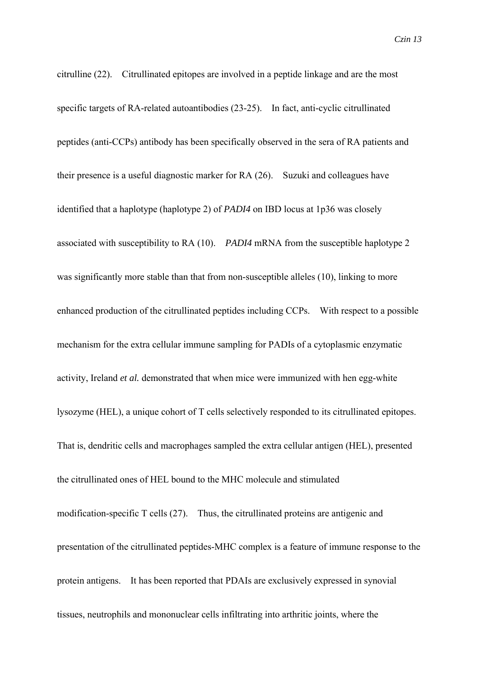citrulline (22). Citrullinated epitopes are involved in a peptide linkage and are the most specific targets of RA-related autoantibodies (23-25). In fact, anti-cyclic citrullinated peptides (anti-CCPs) antibody has been specifically observed in the sera of RA patients and their presence is a useful diagnostic marker for RA (26). Suzuki and colleagues have identified that a haplotype (haplotype 2) of *PADI4* on IBD locus at 1p36 was closely associated with susceptibility to RA (10). *PADI4* mRNA from the susceptible haplotype 2 was significantly more stable than that from non-susceptible alleles (10), linking to more enhanced production of the citrullinated peptides including CCPs. With respect to a possible mechanism for the extra cellular immune sampling for PADIs of a cytoplasmic enzymatic activity, Ireland *et al.* demonstrated that when mice were immunized with hen egg-white lysozyme (HEL), a unique cohort of T cells selectively responded to its citrullinated epitopes. That is, dendritic cells and macrophages sampled the extra cellular antigen (HEL), presented the citrullinated ones of HEL bound to the MHC molecule and stimulated modification-specific T cells (27). Thus, the citrullinated proteins are antigenic and presentation of the citrullinated peptides-MHC complex is a feature of immune response to the protein antigens. It has been reported that PDAIs are exclusively expressed in synovial

tissues, neutrophils and mononuclear cells infiltrating into arthritic joints, where the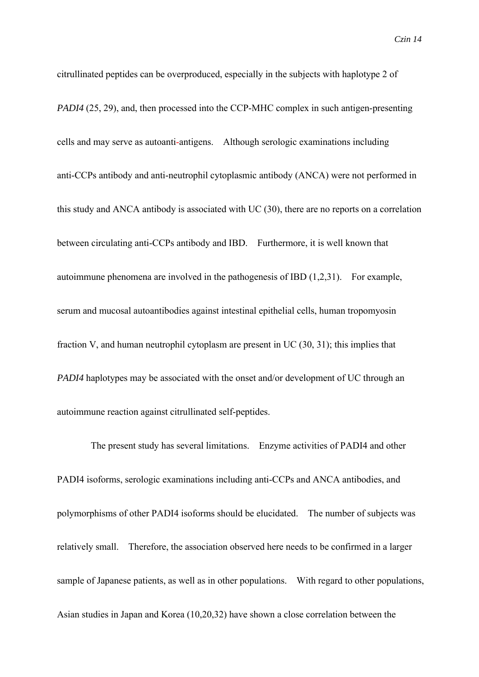citrullinated peptides can be overproduced, especially in the subjects with haplotype 2 of *PADI4* (25, 29), and, then processed into the CCP-MHC complex in such antigen-presenting cells and may serve as autoanti-antigens. Although serologic examinations including anti-CCPs antibody and anti-neutrophil cytoplasmic antibody (ANCA) were not performed in this study and ANCA antibody is associated with UC (30), there are no reports on a correlation between circulating anti-CCPs antibody and IBD. Furthermore, it is well known that autoimmune phenomena are involved in the pathogenesis of IBD (1,2,31). For example, serum and mucosal autoantibodies against intestinal epithelial cells, human tropomyosin fraction V, and human neutrophil cytoplasm are present in UC (30, 31); this implies that *PADI4* haplotypes may be associated with the onset and/or development of UC through an autoimmune reaction against citrullinated self-peptides.

The present study has several limitations. Enzyme activities of PADI4 and other PADI4 isoforms, serologic examinations including anti-CCPs and ANCA antibodies, and polymorphisms of other PADI4 isoforms should be elucidated. The number of subjects was relatively small. Therefore, the association observed here needs to be confirmed in a larger sample of Japanese patients, as well as in other populations. With regard to other populations, Asian studies in Japan and Korea (10,20,32) have shown a close correlation between the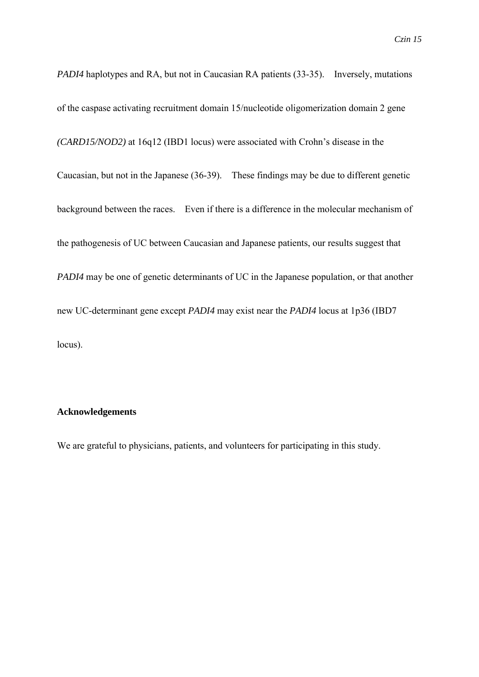*PADI4* haplotypes and RA, but not in Caucasian RA patients (33-35). Inversely, mutations of the caspase activating recruitment domain 15/nucleotide oligomerization domain 2 gene *(CARD15/NOD2)* at 16q12 (IBD1 locus) were associated with Crohn's disease in the Caucasian, but not in the Japanese (36-39). These findings may be due to different genetic background between the races. Even if there is a difference in the molecular mechanism of the pathogenesis of UC between Caucasian and Japanese patients, our results suggest that *PADI4* may be one of genetic determinants of UC in the Japanese population, or that another new UC-determinant gene except *PADI4* may exist near the *PADI4* locus at 1p36 (IBD7 locus).

### **Acknowledgements**

We are grateful to physicians, patients, and volunteers for participating in this study.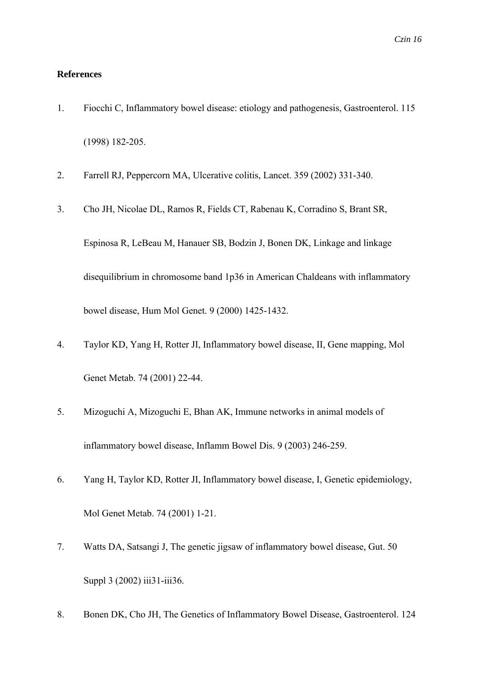### **References**

- 1. Fiocchi C, Inflammatory bowel disease: etiology and pathogenesis, Gastroenterol. 115 (1998) 182-205.
- 2. Farrell RJ, Peppercorn MA, Ulcerative colitis, Lancet. 359 (2002) 331-340.
- 3. Cho JH, Nicolae DL, Ramos R, Fields CT, Rabenau K, Corradino S, Brant SR,

Espinosa R, LeBeau M, Hanauer SB, Bodzin J, Bonen DK, Linkage and linkage disequilibrium in chromosome band 1p36 in American Chaldeans with inflammatory bowel disease, Hum Mol Genet. 9 (2000) 1425-1432.

- 4. Taylor KD, Yang H, Rotter JI, Inflammatory bowel disease, II, Gene mapping, Mol Genet Metab. 74 (2001) 22-44.
- 5. Mizoguchi A, Mizoguchi E, Bhan AK, Immune networks in animal models of inflammatory bowel disease, Inflamm Bowel Dis. 9 (2003) 246-259.
- 6. Yang H, Taylor KD, Rotter JI, Inflammatory bowel disease, I, Genetic epidemiology, Mol Genet Metab. 74 (2001) 1-21.
- 7. Watts DA, Satsangi J, The genetic jigsaw of inflammatory bowel disease, Gut. 50 Suppl 3 (2002) iii31-iii36.
- 8. Bonen DK, Cho JH, The Genetics of Inflammatory Bowel Disease, Gastroenterol. 124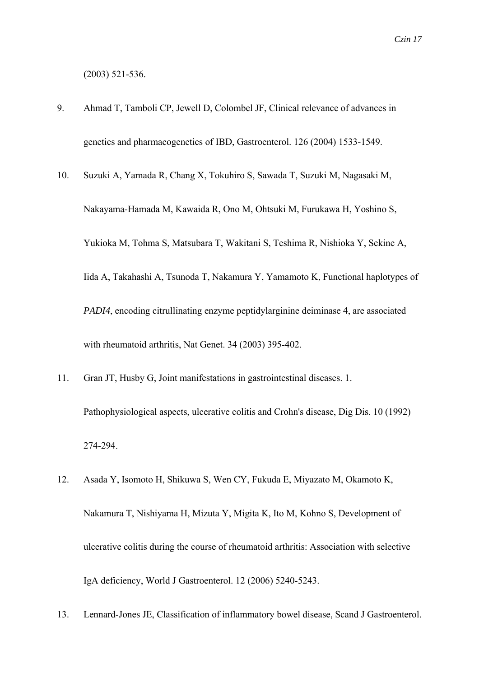(2003) 521-536.

- 9. Ahmad T, Tamboli CP, Jewell D, Colombel JF, Clinical relevance of advances in genetics and pharmacogenetics of IBD, Gastroenterol. 126 (2004) 1533-1549.
- 10. Suzuki A, Yamada R, Chang X, Tokuhiro S, Sawada T, Suzuki M, Nagasaki M, Nakayama-Hamada M, Kawaida R, Ono M, Ohtsuki M, Furukawa H, Yoshino S, Yukioka M, Tohma S, Matsubara T, Wakitani S, Teshima R, Nishioka Y, Sekine A, Iida A, Takahashi A, Tsunoda T, Nakamura Y, Yamamoto K, Functional haplotypes of *PADI4*, encoding citrullinating enzyme peptidylarginine deiminase 4, are associated with rheumatoid arthritis, Nat Genet. 34 (2003) 395-402.
- 11. Gran JT, Husby G, Joint manifestations in gastrointestinal diseases. 1. Pathophysiological aspects, ulcerative colitis and Crohn's disease, Dig Dis. 10 (1992) 274-294.
- 12. Asada Y, Isomoto H, Shikuwa S, Wen CY, Fukuda E, Miyazato M, Okamoto K, Nakamura T, Nishiyama H, Mizuta Y, Migita K, Ito M, Kohno S, Development of ulcerative colitis during the course of rheumatoid arthritis: Association with selective IgA deficiency, World J Gastroenterol. 12 (2006) 5240-5243.
- 13. Lennard-Jones JE, Classification of inflammatory bowel disease, Scand J Gastroenterol.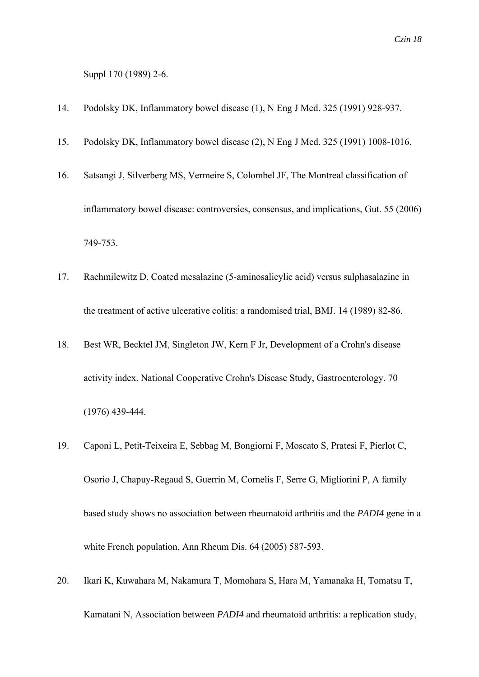Suppl 170 (1989) 2-6.

- 14. Podolsky DK, Inflammatory bowel disease (1), N Eng J Med. 325 (1991) 928-937.
- 15. Podolsky DK, Inflammatory bowel disease (2), N Eng J Med. 325 (1991) 1008-1016.
- 16. Satsangi J, Silverberg MS, Vermeire S, Colombel JF, The Montreal classification of inflammatory bowel disease: controversies, consensus, and implications, Gut. 55 (2006) 749-753.
- 17. Rachmilewitz D, Coated mesalazine (5-aminosalicylic acid) versus sulphasalazine in the treatment of active ulcerative colitis: a randomised trial, BMJ. 14 (1989) 82-86.
- 18. Best WR, Becktel JM, Singleton JW, Kern F Jr, Development of a Crohn's disease activity index. National Cooperative Crohn's Disease Study, Gastroenterology. 70 (1976) 439-444.
- 19. Caponi L, Petit-Teixeira E, Sebbag M, Bongiorni F, Moscato S, Pratesi F, Pierlot C, Osorio J, Chapuy-Regaud S, Guerrin M, Cornelis F, Serre G, Migliorini P, A family based study shows no association between rheumatoid arthritis and the *PADI4* gene in a white French population, Ann Rheum Dis. 64 (2005) 587-593.
- 20. Ikari K, Kuwahara M, Nakamura T, Momohara S, Hara M, Yamanaka H, Tomatsu T, Kamatani N, Association between *PADI4* and rheumatoid arthritis: a replication study,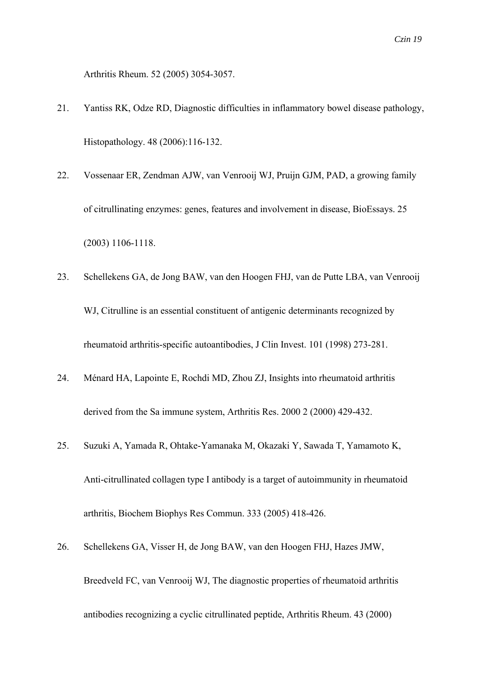Arthritis Rheum. 52 (2005) 3054-3057.

- 21. Yantiss RK, Odze RD, Diagnostic difficulties in inflammatory bowel disease pathology, Histopathology. 48 (2006):116-132.
- 22. Vossenaar ER, Zendman AJW, van Venrooij WJ, Pruijn GJM, PAD, a growing family of citrullinating enzymes: genes, features and involvement in disease, BioEssays. 25 (2003) 1106-1118.
- 23. Schellekens GA, de Jong BAW, van den Hoogen FHJ, van de Putte LBA, van Venrooij WJ, Citrulline is an essential constituent of antigenic determinants recognized by rheumatoid arthritis-specific autoantibodies, J Clin Invest. 101 (1998) 273-281.
- 24. Ménard HA, Lapointe E, Rochdi MD, Zhou ZJ, Insights into rheumatoid arthritis derived from the Sa immune system, Arthritis Res. 2000 2 (2000) 429-432.
- 25. Suzuki A, Yamada R, Ohtake-Yamanaka M, Okazaki Y, Sawada T, Yamamoto K, Anti-citrullinated collagen type I antibody is a target of autoimmunity in rheumatoid arthritis, Biochem Biophys Res Commun. 333 (2005) 418-426.
- 26. Schellekens GA, Visser H, de Jong BAW, van den Hoogen FHJ, Hazes JMW, Breedveld FC, van Venrooij WJ, The diagnostic properties of rheumatoid arthritis antibodies recognizing a cyclic citrullinated peptide, Arthritis Rheum. 43 (2000)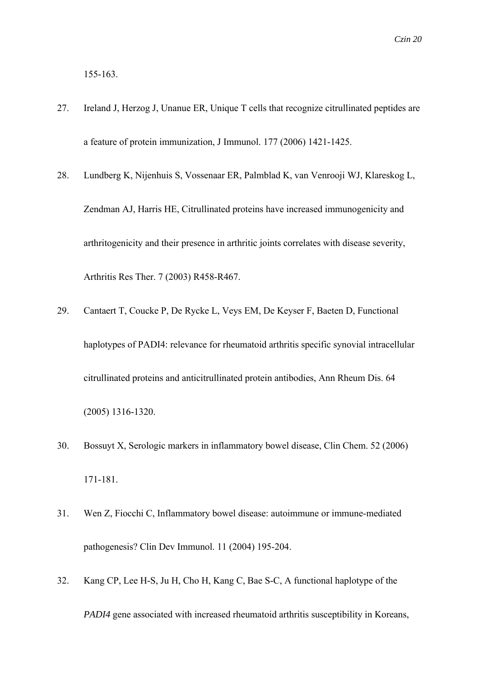155-163.

- 27. Ireland J, Herzog J, Unanue ER, Unique T cells that recognize citrullinated peptides are a feature of protein immunization, J Immunol. 177 (2006) 1421-1425.
- 28. Lundberg K, Nijenhuis S, Vossenaar ER, Palmblad K, van Venrooji WJ, Klareskog L, Zendman AJ, Harris HE, Citrullinated proteins have increased immunogenicity and arthritogenicity and their presence in arthritic joints correlates with disease severity, Arthritis Res Ther. 7 (2003) R458-R467.
- 29. Cantaert T, Coucke P, De Rycke L, Veys EM, De Keyser F, Baeten D, Functional haplotypes of PADI4: relevance for rheumatoid arthritis specific synovial intracellular citrullinated proteins and anticitrullinated protein antibodies, Ann Rheum Dis. 64 (2005) 1316-1320.
- 30. Bossuyt X, Serologic markers in inflammatory bowel disease, Clin Chem. 52 (2006) 171-181.
- 31. Wen Z, Fiocchi C, Inflammatory bowel disease: autoimmune or immune-mediated pathogenesis? Clin Dev Immunol. 11 (2004) 195-204.
- 32. Kang CP, Lee H-S, Ju H, Cho H, Kang C, Bae S-C, A functional haplotype of the *PADI4* gene associated with increased rheumatoid arthritis susceptibility in Koreans,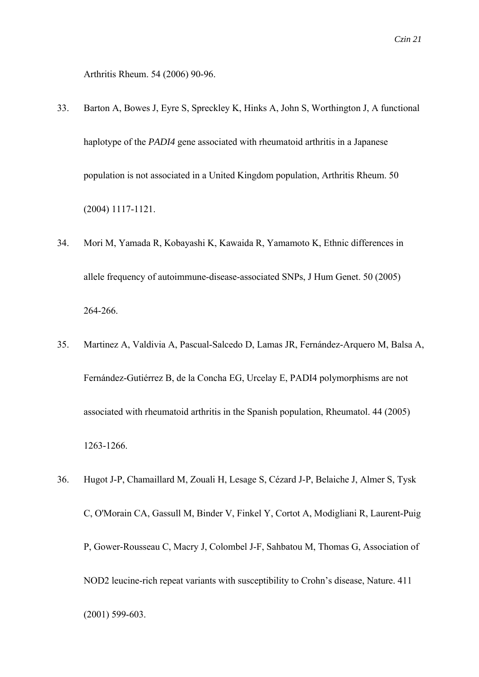Arthritis Rheum. 54 (2006) 90-96.

- 33. Barton A, Bowes J, Eyre S, Spreckley K, Hinks A, John S, Worthington J, A functional haplotype of the *PADI4* gene associated with rheumatoid arthritis in a Japanese population is not associated in a United Kingdom population, Arthritis Rheum. 50 (2004) 1117-1121.
- 34. Mori M, Yamada R, Kobayashi K, Kawaida R, Yamamoto K, Ethnic differences in allele frequency of autoimmune-disease-associated SNPs, J Hum Genet. 50 (2005) 264-266.
- 35. Martinez A, Valdivia A, Pascual-Salcedo D, Lamas JR, Fernández-Arquero M, Balsa A, Fernández-Gutiérrez B, de la Concha EG, Urcelay E, PADI4 polymorphisms are not associated with rheumatoid arthritis in the Spanish population, Rheumatol. 44 (2005) 1263-1266.
- 36. Hugot J-P, Chamaillard M, Zouali H, Lesage S, Cézard J-P, Belaiche J, Almer S, Tysk C, O'Morain CA, Gassull M, Binder V, Finkel Y, Cortot A, Modigliani R, Laurent-Puig P, Gower-Rousseau C, Macry J, Colombel J-F, Sahbatou M, Thomas G, Association of NOD2 leucine-rich repeat variants with susceptibility to Crohn's disease, Nature. 411 (2001) 599-603.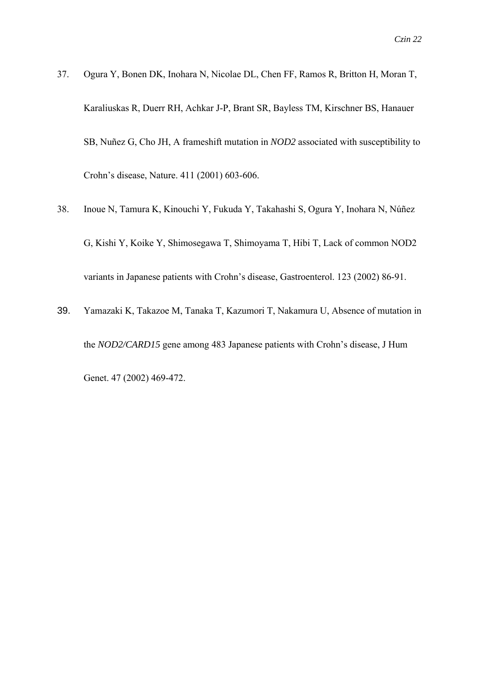- 37. Ogura Y, Bonen DK, Inohara N, Nicolae DL, Chen FF, Ramos R, Britton H, Moran T, Karaliuskas R, Duerr RH, Achkar J-P, Brant SR, Bayless TM, Kirschner BS, Hanauer SB, Nuñez G, Cho JH, A frameshift mutation in *NOD2* associated with susceptibility to Crohn's disease, Nature. 411 (2001) 603-606.
- 38. Inoue N, Tamura K, Kinouchi Y, Fukuda Y, Takahashi S, Ogura Y, Inohara N, Núñez G, Kishi Y, Koike Y, Shimosegawa T, Shimoyama T, Hibi T, Lack of common NOD2 variants in Japanese patients with Crohn's disease, Gastroenterol. 123 (2002) 86-91.
- 39. Yamazaki K, Takazoe M, Tanaka T, Kazumori T, Nakamura U, Absence of mutation in the *NOD2/CARD15* gene among 483 Japanese patients with Crohn's disease, J Hum Genet. 47 (2002) 469-472.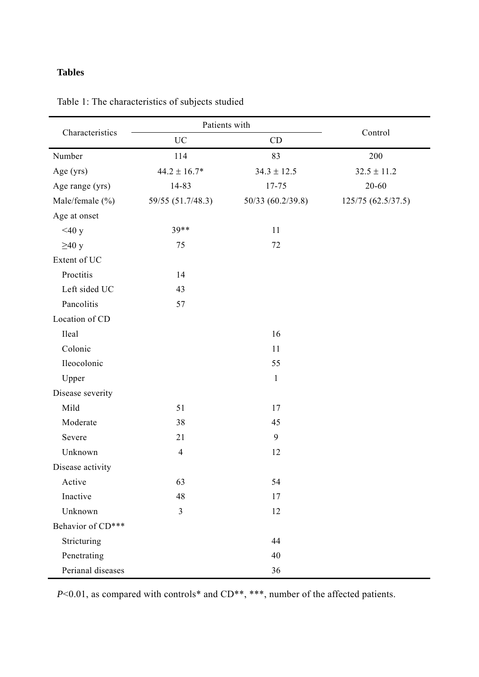# **Tables**

|                   | Patients with     | Control           |                    |
|-------------------|-------------------|-------------------|--------------------|
| Characteristics   | <b>UC</b>         | CD                |                    |
| Number            | 114               | 83                | 200                |
| Age (yrs)         | $44.2 \pm 16.7*$  | $34.3 \pm 12.5$   | $32.5 \pm 11.2$    |
| Age range (yrs)   | 14-83             | 17-75             | $20 - 60$          |
| Male/female (%)   | 59/55 (51.7/48.3) | 50/33 (60.2/39.8) | 125/75 (62.5/37.5) |
| Age at onset      |                   |                   |                    |
| $<$ 40 y          | $39**$            | 11                |                    |
| $\geq$ 40 y       | 75                | 72                |                    |
| Extent of UC      |                   |                   |                    |
| Proctitis         | 14                |                   |                    |
| Left sided UC     | 43                |                   |                    |
| Pancolitis        | 57                |                   |                    |
| Location of CD    |                   |                   |                    |
| Ileal             |                   | 16                |                    |
| Colonic           |                   | 11                |                    |
| Ileocolonic       |                   | 55                |                    |
| Upper             |                   | $1\,$             |                    |
| Disease severity  |                   |                   |                    |
| Mild              | 51                | 17                |                    |
| Moderate          | 38                | 45                |                    |
| Severe            | 21                | $\mathbf{9}$      |                    |
| Unknown           | $\overline{4}$    | 12                |                    |
| Disease activity  |                   |                   |                    |
| Active            | 63                | 54                |                    |
| Inactive          | 48                | 17                |                    |
| Unknown           | 3                 | 12                |                    |
| Behavior of CD*** |                   |                   |                    |
| Stricturing       |                   | 44                |                    |
| Penetrating       |                   | 40                |                    |
| Perianal diseases |                   | 36                |                    |

Table 1: The characteristics of subjects studied

*P*<0.01, as compared with controls\* and CD\*\*, \*\*\*, number of the affected patients.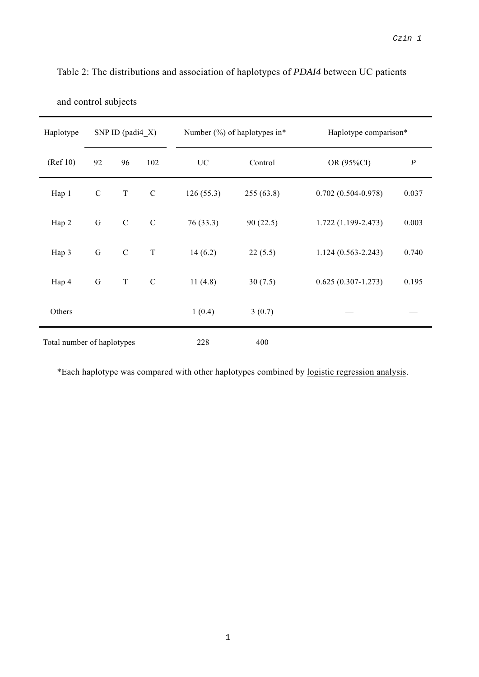| Haplotype                  |             | SNP ID (padi $4_X$ ) |               |           | Number $(\%)$ of haplotypes in* | Haplotype comparison*  |                  |
|----------------------------|-------------|----------------------|---------------|-----------|---------------------------------|------------------------|------------------|
| (Ref 10)                   | 92          | 96                   | 102           | <b>UC</b> | Control<br>OR (95%CI)           |                        | $\boldsymbol{P}$ |
| Hap 1                      | $\mathbf C$ | $\mathbf T$          | $\mathsf C$   | 126(55.3) | 255(63.8)                       | $0.702(0.504 - 0.978)$ | 0.037            |
| Hap 2                      | ${\bf G}$   | $\mathbf C$          | $\mathcal{C}$ | 76(33.3)  | 90(22.5)                        | $1.722(1.199 - 2.473)$ | 0.003            |
| Hap 3                      | $\mathbf G$ | $\mathbf C$          | $\mathbf T$   | 14(6.2)   | 22(5.5)                         | $1.124(0.563 - 2.243)$ | 0.740            |
| Hap 4                      | ${\bf G}$   | $\mathbf T$          | $\mathcal{C}$ | 11(4.8)   | 30(7.5)                         | $0.625(0.307 - 1.273)$ | 0.195            |
| Others                     |             |                      |               | 1(0.4)    | 3(0.7)                          |                        |                  |
| Total number of haplotypes |             | 228                  | 400           |           |                                 |                        |                  |

Table 2: The distributions and association of haplotypes of *PDAI4* between UC patients

\*Each haplotype was compared with other haplotypes combined by logistic regression analysis.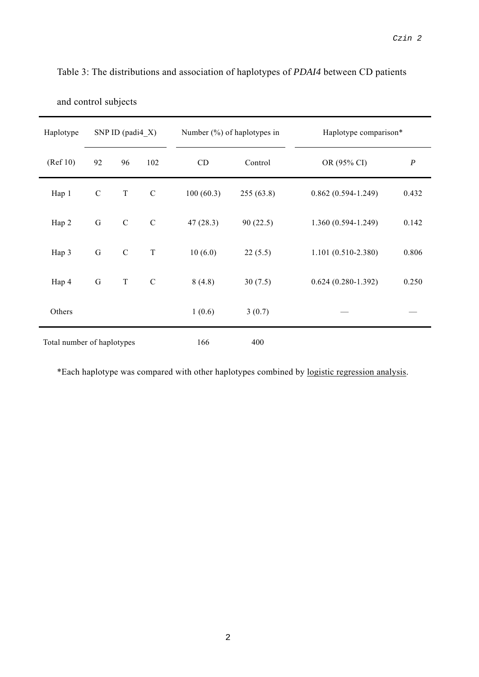| Haplotype                  |             | SNP ID (padi $4 \ X$ ) |               |           | Number $(\%)$ of haplotypes in<br>Haplotype comparison* |                        |                  |
|----------------------------|-------------|------------------------|---------------|-----------|---------------------------------------------------------|------------------------|------------------|
| (Ref 10)                   | 92          | 96                     | 102           | CD        | Control<br>OR (95% CI)                                  |                        | $\boldsymbol{P}$ |
| Hap 1                      | ${\bf C}$   | $\mathbf T$            | $\mathcal{C}$ | 100(60.3) | 255(63.8)                                               | $0.862(0.594 - 1.249)$ | 0.432            |
| Hap 2                      | G           | $\mathbf C$            | $\mathcal{C}$ | 47(28.3)  | 90(22.5)                                                | $1.360(0.594 - 1.249)$ | 0.142            |
| Hap 3                      | $\mathbf G$ | $\mathcal{C}$          | $\mathbf T$   | 10(6.0)   | 22(5.5)                                                 | $1.101(0.510-2.380)$   | 0.806            |
| Hap 4                      | $\mathbf G$ | $\mathbf T$            | $\mathcal{C}$ | 8(4.8)    | 30(7.5)                                                 | $0.624(0.280-1.392)$   | 0.250            |
| Others                     |             |                        |               | 1(0.6)    | 3(0.7)                                                  |                        |                  |
| Total number of haplotypes |             | 166                    | 400           |           |                                                         |                        |                  |

Table 3: The distributions and association of haplotypes of *PDAI4* between CD patients

\*Each haplotype was compared with other haplotypes combined by logistic regression analysis.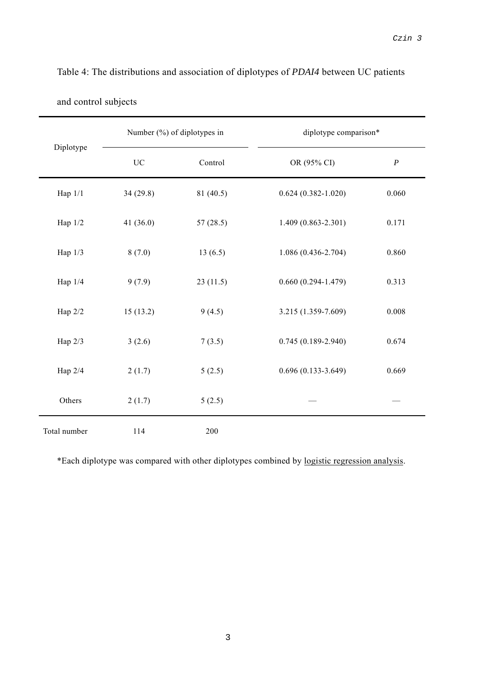|              |             | Number (%) of diplotypes in | diplotype comparison*  |                  |  |
|--------------|-------------|-----------------------------|------------------------|------------------|--|
| Diplotype    | <b>UC</b>   | Control                     | OR (95% CI)            | $\boldsymbol{P}$ |  |
| Hap $1/1$    | 34(29.8)    | 81 (40.5)                   | $0.624(0.382 - 1.020)$ | 0.060            |  |
| Hap 1/2      | 41 $(36.0)$ | 57(28.5)                    | $1.409(0.863 - 2.301)$ | 0.171            |  |
| Hap 1/3      | 8(7.0)      | 13(6.5)                     | 1.086 (0.436-2.704)    | 0.860            |  |
| Hap 1/4      | 9(7.9)      | 23(11.5)                    | $0.660(0.294 - 1.479)$ | 0.313            |  |
| Hap 2/2      | 15(13.2)    | 9(4.5)                      | 3.215 (1.359-7.609)    | 0.008            |  |
| Hap 2/3      | 3(2.6)      | 7(3.5)                      | $0.745(0.189 - 2.940)$ | 0.674            |  |
| Hap 2/4      | 2(1.7)      | 5(2.5)                      | $0.696(0.133-3.649)$   | 0.669            |  |
| Others       | 2(1.7)      | 5(2.5)                      |                        |                  |  |
| Total number | 114         | 200                         |                        |                  |  |

Table 4: The distributions and association of diplotypes of *PDAI4* between UC patients

\*Each diplotype was compared with other diplotypes combined by logistic regression analysis.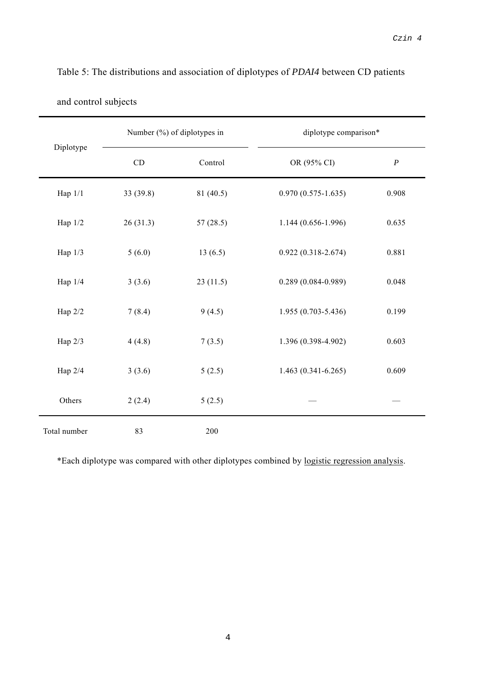|              |          | Number (%) of diplotypes in | diplotype comparison*  |                  |  |
|--------------|----------|-----------------------------|------------------------|------------------|--|
| Diplotype    | CD       | Control                     | OR (95% CI)            | $\boldsymbol{P}$ |  |
| Hap $1/1$    | 33(39.8) | 81 (40.5)                   | $0.970(0.575 - 1.635)$ | 0.908            |  |
| Hap 1/2      | 26(31.3) | 57(28.5)                    | 1.144 (0.656-1.996)    | 0.635            |  |
| Hap 1/3      | 5(6.0)   | 13(6.5)                     | $0.922(0.318 - 2.674)$ | 0.881            |  |
| Hap 1/4      | 3(3.6)   | 23(11.5)                    | $0.289(0.084 - 0.989)$ | 0.048            |  |
| Hap 2/2      | 7(8.4)   | 9(4.5)                      | 1.955 (0.703-5.436)    | 0.199            |  |
| Hap 2/3      | 4(4.8)   | 7(3.5)                      | 1.396 (0.398-4.902)    | 0.603            |  |
| Hap 2/4      | 3(3.6)   | 5(2.5)                      | $1.463(0.341 - 6.265)$ | 0.609            |  |
| Others       | 2(2.4)   | 5(2.5)                      |                        |                  |  |
| Total number | 83       | 200                         |                        |                  |  |

Table 5: The distributions and association of diplotypes of *PDAI4* between CD patients

ř.

\*Each diplotype was compared with other diplotypes combined by logistic regression analysis.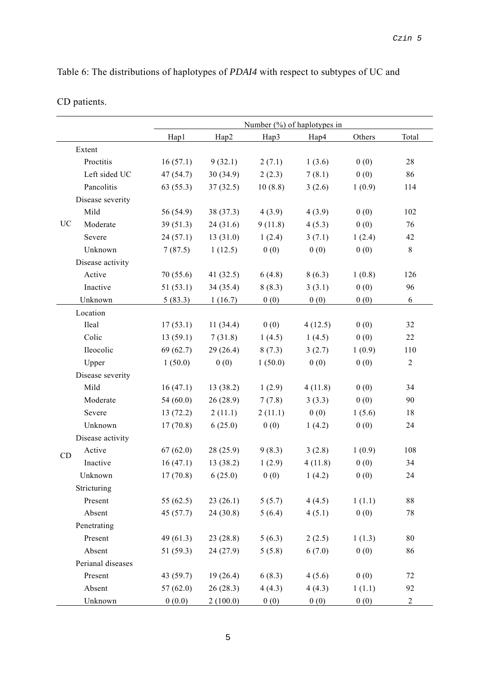Table 6: The distributions of haplotypes of *PDAI4* with respect to subtypes of UC and

|  | CD patients. |
|--|--------------|
|--|--------------|

|    |                   | Number $(\%)$ of haplotypes in |             |         |         |        |                |
|----|-------------------|--------------------------------|-------------|---------|---------|--------|----------------|
|    |                   | Hap1                           | Hap2        | Hap3    | Hap4    | Others | Total          |
|    | Extent            |                                |             |         |         |        |                |
|    | Proctitis         | 16(57.1)                       | 9(32.1)     | 2(7.1)  | 1(3.6)  | 0(0)   | 28             |
|    | Left sided UC     | 47 (54.7)                      | 30(34.9)    | 2(2.3)  | 7(8.1)  | 0(0)   | 86             |
|    | Pancolitis        | 63(55.3)                       | 37(32.5)    | 10(8.8) | 3(2.6)  | 1(0.9) | 114            |
|    | Disease severity  |                                |             |         |         |        |                |
|    | Mild              | 56 (54.9)                      | 38 (37.3)   | 4(3.9)  | 4(3.9)  | 0(0)   | 102            |
| UC | Moderate          | 39(51.3)                       | 24(31.6)    | 9(11.8) | 4(5.3)  | 0(0)   | 76             |
|    | Severe            | 24(57.1)                       | 13(31.0)    | 1(2.4)  | 3(7.1)  | 1(2.4) | 42             |
|    | Unknown           | 7(87.5)                        | 1(12.5)     | 0(0)    | 0(0)    | 0(0)   | $\,8\,$        |
|    | Disease activity  |                                |             |         |         |        |                |
|    | Active            | 70(55.6)                       | 41 $(32.5)$ | 6(4.8)  | 8(6.3)  | 1(0.8) | 126            |
|    | Inactive          | 51(53.1)                       | 34 (35.4)   | 8(8.3)  | 3(3.1)  | 0(0)   | 96             |
|    | Unknown           | 5(83.3)                        | 1(16.7)     | 0(0)    | 0(0)    | 0(0)   | 6              |
|    | Location          |                                |             |         |         |        |                |
|    | Ileal             | 17(53.1)                       | 11(34.4)    | 0(0)    | 4(12.5) | 0(0)   | 32             |
|    | Colic             | 13(59.1)                       | 7(31.8)     | 1(4.5)  | 1(4.5)  | 0(0)   | 22             |
|    | Ileocolic         | 69(62.7)                       | 29(26.4)    | 8(7.3)  | 3(2.7)  | 1(0.9) | 110            |
|    | Upper             | 1(50.0)                        | 0(0)        | 1(50.0) | 0(0)    | 0(0)   | $\overline{c}$ |
|    | Disease severity  |                                |             |         |         |        |                |
|    | Mild              | 16(47.1)                       | 13 (38.2)   | 1(2.9)  | 4(11.8) | 0(0)   | 34             |
|    | Moderate          | 54 $(60.0)$                    | 26(28.9)    | 7(7.8)  | 3(3.3)  | 0(0)   | 90             |
|    | Severe            | 13(72.2)                       | 2(11.1)     | 2(11.1) | 0(0)    | 1(5.6) | 18             |
|    | Unknown           | 17(70.8)                       | 6(25.0)     | 0(0)    | 1(4.2)  | 0(0)   | 24             |
|    | Disease activity  |                                |             |         |         |        |                |
| CD | Active            | 67(62.0)                       | 28(25.9)    | 9(8.3)  | 3(2.8)  | 1(0.9) | 108            |
|    | Inactive          | 16(47.1)                       | 13(38.2)    | 1(2.9)  | 4(11.8) | 0(0)   | 34             |
|    | Unknown           | 17(70.8)                       | 6(25.0)     | 0(0)    | 1(4.2)  | 0(0)   | 24             |
|    | Stricturing       |                                |             |         |         |        |                |
|    | Present           | 55 $(62.5)$                    | 23(26.1)    | 5(5.7)  | 4(4.5)  | 1(1.1) | 88             |
|    | Absent            | 45 (57.7)                      | 24(30.8)    | 5(6.4)  | 4(5.1)  | 0(0)   | 78             |
|    | Penetrating       |                                |             |         |         |        |                |
|    | Present           | 49 $(61.3)$                    | 23(28.8)    | 5(6.3)  | 2(2.5)  | 1(1.3) | 80             |
|    | Absent            | 51(59.3)                       | 24(27.9)    | 5(5.8)  | 6(7.0)  | 0(0)   | 86             |
|    | Perianal diseases |                                |             |         |         |        |                |
|    | Present           | 43 (59.7)                      | 19(26.4)    | 6(8.3)  | 4(5.6)  | 0(0)   | 72             |
|    | Absent            | 57(62.0)                       | 26(28.3)    | 4(4.3)  | 4(4.3)  | 1(1.1) | 92             |
|    | Unknown           | 0(0.0)                         | 2(100.0)    | 0(0)    | 0(0)    | 0(0)   | $\overline{c}$ |